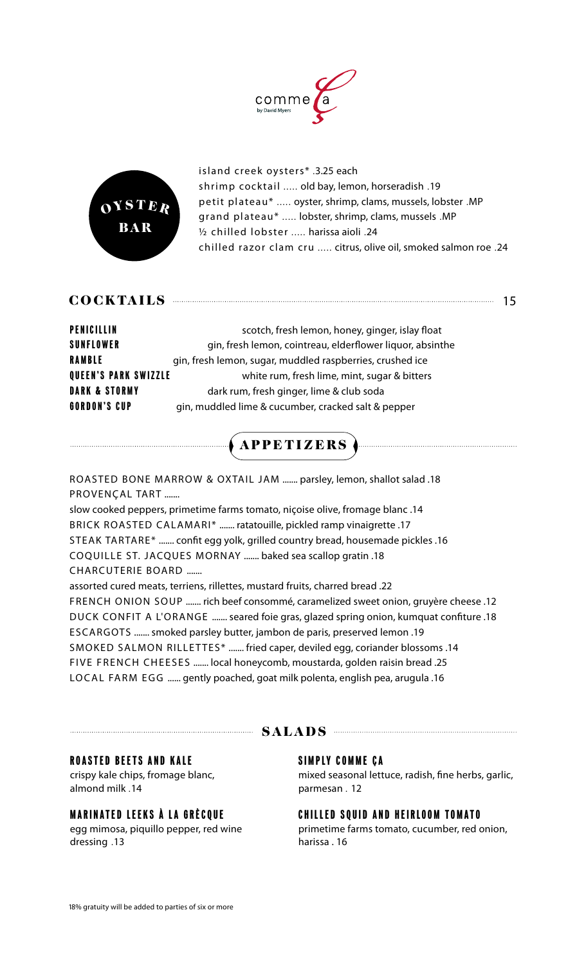



island creek oysters\* .3.25 each shrimp cocktail ..... old bay, lemon, horseradish .19 petit plateau\* ..... oyster, shrimp, clams, mussels, lobster .MP grand plateau\* ..... lobster, shrimp, clams, mussels .MP ½ chilled lobster ..... harissa aioli .24 chilled razor clam cru ..... citrus, olive oil, smoked salmon roe .24

| COCKTAI |  |  |  |
|---------|--|--|--|
|---------|--|--|--|

| <b>PENICILLIN</b>           | scotch, fresh lemon, honey, ginger, islay float           |
|-----------------------------|-----------------------------------------------------------|
| <b>SUNFLOWER</b>            | gin, fresh lemon, cointreau, elderflower liquor, absinthe |
| <b>RAMBLE</b>               | gin, fresh lemon, sugar, muddled raspberries, crushed ice |
| <b>QUEEN'S PARK SWIZZLE</b> | white rum, fresh lime, mint, sugar & bitters              |
| <b>DARK &amp; STORMY</b>    | dark rum, fresh ginger, lime & club soda                  |
| <b>GORDON'S CUP</b>         | gin, muddled lime & cucumber, cracked salt & pepper       |

# APPETIZERS

ROASTED BONE MARROW & OXTAIL JAM ....... parsley, lemon, shallot salad .18 PROVENÇAL TART .......

slow cooked peppers, primetime farms tomato, niçoise olive, fromage blanc .14 BRICK ROASTED CALAMARI\* ....... ratatouille, pickled ramp vinaigrette .17 STEAK TARTARE\* ....... confit egg yolk, grilled country bread, housemade pickles .16 COQUILLE ST. JACQUES MORNAY ....... baked sea scallop gratin .18 CHARCUTERIE BOARD .......

assorted cured meats, terriens, rillettes, mustard fruits, charred bread .22 FRENCH ONION SOUP ....... rich beef consommé, caramelized sweet onion, gruyère cheese .12 DUCK CONFIT A L'ORANGE ....... seared foie gras, glazed spring onion, kumquat confiture .18 ESCARGOTS ....... smoked parsley butter, jambon de paris, preserved lemon .19 SMOKED SALMON RILLETTES\* ....... fried caper, deviled egg, coriander blossoms .14 five french cheeses ....... local honeycomb, moustarda, golden raisin bread .25 local farm egg ...... gently poached, goat milk polenta, english pea, arugula .16

# SALADS

### ROASTED BEETS AND KALE

crispy kale chips, fromage blanc, almond milk .14

### MARINATED LEEKS À LA GRÈCQUE

egg mimosa, piquillo pepper, red wine dressing .13

### SIMPLY COMME ÇA

mixed seasonal lettuce, radish, fine herbs, garlic, parmesan . 12

### CHILLED SQUID AND HEIRLOOM TOMATO

primetime farms tomato, cucumber, red onion, harissa . 16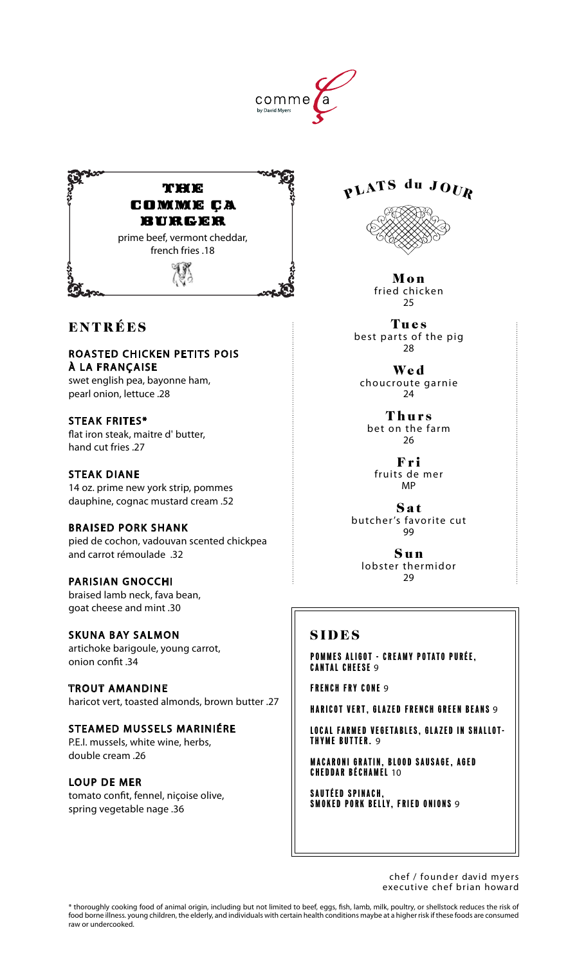



# ENTRÉES

roasted chicken petits pois À la franÇaise swet english pea, bayonne ham, pearl onion, lettuce .28

STEAK FRITES\* flat iron steak, maitre d' butter, hand cut fries .27

steak diane 14 oz. prime new york strip, pommes dauphine, cognac mustard cream .52

braised pork shank pied de cochon, vadouvan scented chickpea and carrot rémoulade .32

parisian gnocchi braised lamb neck, fava bean, goat cheese and mint .30

skuna bay salmon artichoke barigoule, young carrot, onion confit .34

trout amandine haricot vert, toasted almonds, brown butter .27

steamed mussels mariniÉre P.E.I. mussels, white wine, herbs, double cream .26

loup de mer tomato confit, fennel, niçoise olive, spring vegetable nage .36

PLATS du JOUR



Mon fried chicken 25

Tues best parts of the pig 28

Wed choucroute garnie 24

Thurs bet on the farm 26

Fri fruits de mer MP

Sat butcher's favorite cut 99

Sun lobster thermidor 29

# SIDES

POMMES ALIGOT - CREAMY POTATO PURÉE. CANTAL CHEESE 9

FRENCH FRY CONE 9

HARICOT VERT, GLAZED FRENCH GREEN BEANS 9

LOCAL FARMED VEGETABLES, glazed in shallot- THYME BUTTER. 9

**MACARONI GRATIN, BLOOD SAUSAGE, AGED** CHEDDAR BÉCHAMEL 10

SAUTÉED SPINACH, SMOKED PORK BELLY. FRIED ONIONS **9** 

> chef / founder david myers executive chef brian howard

\* thoroughly cooking food of animal origin, including but not limited to beef, eggs, fish, lamb, milk, poultry, or shellstock reduces the risk of food borne illness. young children, the elderly, and individuals with certain health conditions maybe at a higher risk if these foods are consumed raw or undercooked.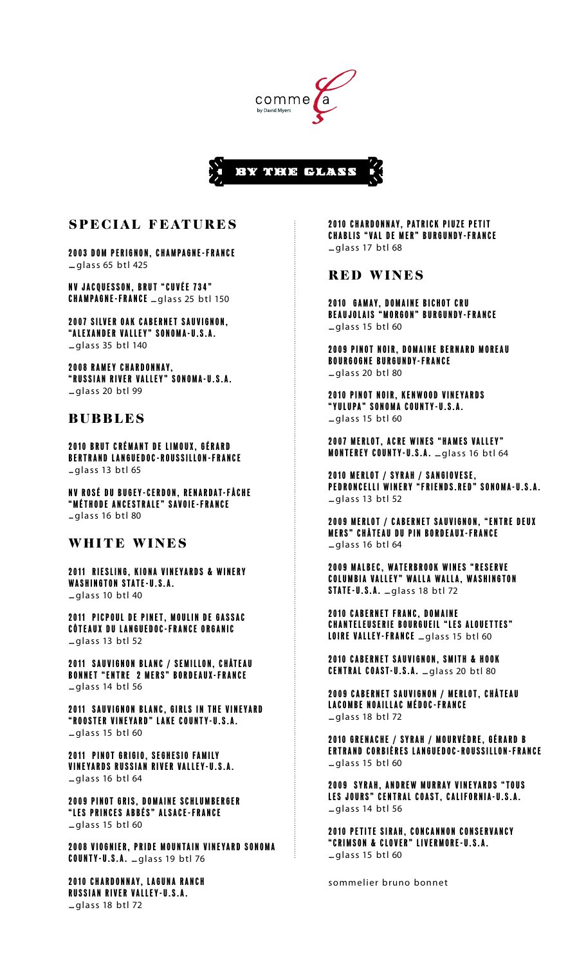



## special features

2003 DOM PERIGNON, champagne -france ..... glass 65 btl 425

nv jacquesson , brut "cuvée 7 3 4 " **CHAMPAGNE-FRANCE** .... glass 25 btl 150

2007 silver oak Cabernet Sauvignon , "alexander valley" sonoma-u.s.a. ..... glass 35 btl 140

2008 ramey Chardonnay, "russian river valley" sonoma-u.s.a. ..... glass 20 btl 99

### **BUBBLES**

2010 Brut Crémant de limoux, gérard bertrand languedoc-roussillon -france .... glass 13 btl 65

NV Rosé du bugey-cerdon , Renardat-Fâche " M éthode A ncestrale" Savoie - France .... glass 16 btl 80

### WHITE WINES

2011 RIESLING, KIONA VINEYARDS & WINERY WASHINGTON STATE-U.S.A.  $=$ glass 10 btl 40

2011 PICPOUL DE PINET. MOULIN DE GASSAC C ôteaux du Languedoc- France Organic ..... glass 13 btl 52

2011 SAUVIGNON BLANC / SEMILLON, CHÂTEAU BONNET "ENTRE 2 MERS" BORDEAUX-FRANCE  $=$ glass 14 btl 56

2011 Sauvignon Blanc, Girls in the Vineyard "ROOSTER VINEYARD" LAKE COUNTY-U.S.A.  $=$ glass 15 btl 60

2011 PINOT GRIGIO, Seghesio Family Vineyards Russian River Valley-U.S.A. ..... glass 16 btl 64

2009 PINOT GRIS, DOMAINE SCHLUMBERGER " Les Princes Abbés" Alsace - France ..... glass 15 btl 60

2008 VIOGNIER, PRIDE MOUNTAIN VINEYARD SONOMA COUNTY-U.S.A. ... glass 19 btl 76

2010 Chardonnay, Laguna Ranch Russian River Valley-U.S.A. ..... glass 18 btl 72

2010 Chardonnay, Patrick Piuze Petit **CHABLIS "VAL DE MER" BURGUNDY-FRANCE**  $=$ glass 17 btl 68

#### RED WINES

2010 GAMAY, DOMAINE BICHOT CRU BEAUJOLAIS "MORGON" BURGUNDY-FRANCE  $m$ alass 15 btl 60

2009 PINOT NOIR, DOMAINE BERNARD MOREAU Bourgogne Burgundy- France ..... glass 20 btl 80

2010 PINOT NOIR, KENWOOD VINEYARDS " Yulupa" Sonoma County-U.S.A.  $=$ glass 15 btl 60

2007 MERLOT. ACRE WINES "HAMES VALLEY" MONTEREY COUNTY-U.S.A. ... glass 16 btl 64

2010 merlot / syrah / sangiovese, PEDRONCELLI WINERY "FRIENDS.RED" SONOMA-U.S.A.  $=$ glass 13 btl 52

2009 MERLOT / CABERNET SAUVIGNON. "ENTRE DEUX **MERS" CHÂTEAU DU PIN BORDEAUX-FRANCE**  $=$ glass 16 btl 64

2009 MALBEC, WATERBROOK WINES "RESERVE Columbia Valley" Walla Walla, Washington STATE-U.S.A. .... glass 18 btl 72

2010 CABERNET FRANC, DOMAINE Chanteleuserie Bourgueil "Les Alouettes" LOIRE VALLEY-FRANCE ... glass 15 btl 60

2010 CABERNET SAUVIGNON, SMITH & HOOK CENTRAL COAST-U.S.A. ... glass 20 btl 80

2009 CABERNET SAUVIGNON / MERLOT, CHÂTEAU LACOMBE NOAILLAC MÉDOC-FRANCE  $=$ glass 18 btl 72

2010 GRENACHE / SYRAH / MOURVÈDRE, Gérard B ertrand Corbières Languedoc- Roussillon - France ..... glass 15 btl 60

2009 SYRAH, ANDREW MURRAY VINEYARDS "TOUS les Jours" Central Coast, California-U.S.A.  $=$ glass 14 btl 56

2010 petite sirah, Concannon Conservancy " Crimson & Clover" Livermore - U . S . A .  $m$ alass 15 btl 60

sommelier bruno bonnet